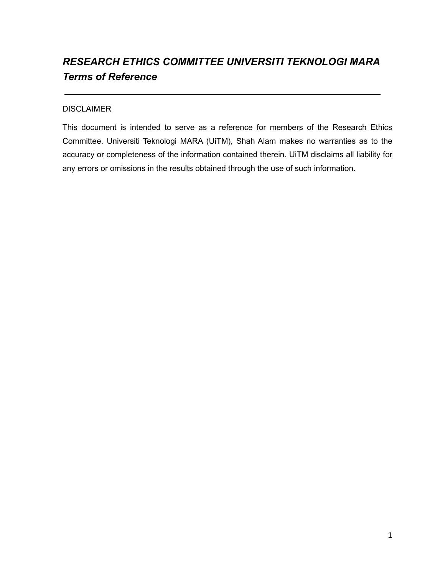# *RESEARCH ETHICS COMMITTEE UNIVERSITI TEKNOLOGI MARA Terms of Reference*

## DISCLAIMER

This document is intended to serve as a reference for members of the Research Ethics Committee. Universiti Teknologi MARA (UiTM), Shah Alam makes no warranties as to the accuracy or completeness of the information contained therein. UiTM disclaims all liability for any errors or omissions in the results obtained through the use of such information.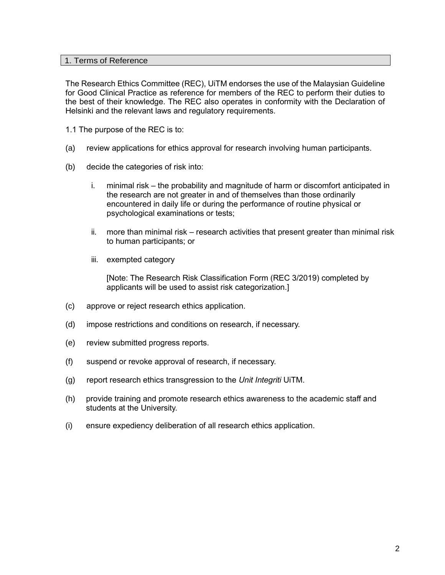#### 1. Terms of Reference

The Research Ethics Committee (REC), UiTM endorses the use of the Malaysian Guideline for Good Clinical Practice as reference for members of the REC to perform their duties to the best of their knowledge. The REC also operates in conformity with the Declaration of Helsinki and the relevant laws and regulatory requirements.

- 1.1 The purpose of the REC is to:
- (a) review applications for ethics approval for research involving human participants.
- (b) decide the categories of risk into:
	- i. minimal risk the probability and magnitude of harm or discomfort anticipated in the research are not greater in and of themselves than those ordinarily encountered in daily life or during the performance of routine physical or psychological examinations or tests;
	- ii. more than minimal risk research activities that present greater than minimal risk to human participants; or
	- iii. exempted category

[Note: The Research Risk Classification Form (REC 3/2019) completed by applicants will be used to assist risk categorization.]

- (c) approve or reject research ethics application.
- (d) impose restrictions and conditions on research, if necessary.
- (e) review submitted progress reports.
- (f) suspend or revoke approval of research, if necessary.
- (g) report research ethics transgression to the *Unit Integriti* UiTM.
- (h) provide training and promote research ethics awareness to the academic staff and students at the University.
- (i) ensure expediency deliberation of all research ethics application.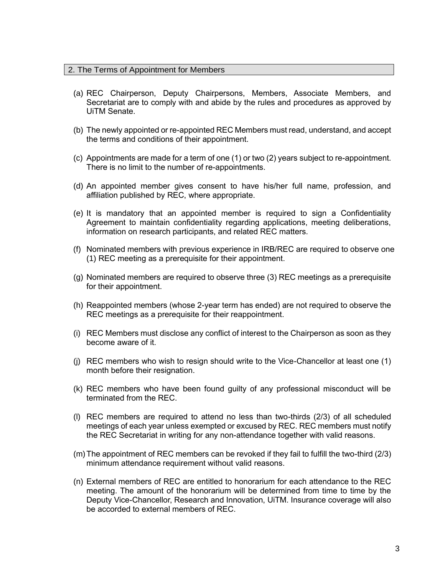## 2. The Terms of Appointment for Members

- (a) REC Chairperson, Deputy Chairpersons, Members, Associate Members, and Secretariat are to comply with and abide by the rules and procedures as approved by UiTM Senate.
- (b) The newly appointed or re-appointed REC Members must read, understand, and accept the terms and conditions of their appointment.
- (c) Appointments are made for a term of one (1) or two (2) years subject to re-appointment. There is no limit to the number of re-appointments.
- (d) An appointed member gives consent to have his/her full name, profession, and affiliation published by REC, where appropriate.
- (e) It is mandatory that an appointed member is required to sign a Confidentiality Agreement to maintain confidentiality regarding applications, meeting deliberations, information on research participants, and related REC matters.
- (f) Nominated members with previous experience in IRB/REC are required to observe one (1) REC meeting as a prerequisite for their appointment.
- (g) Nominated members are required to observe three (3) REC meetings as a prerequisite for their appointment.
- (h) Reappointed members (whose 2-year term has ended) are not required to observe the REC meetings as a prerequisite for their reappointment.
- (i) REC Members must disclose any conflict of interest to the Chairperson as soon as they become aware of it.
- (j) REC members who wish to resign should write to the Vice-Chancellor at least one (1) month before their resignation.
- (k) REC members who have been found guilty of any professional misconduct will be terminated from the REC.
- (l) REC members are required to attend no less than two-thirds (2/3) of all scheduled meetings of each year unless exempted or excused by REC. REC members must notify the REC Secretariat in writing for any non-attendance together with valid reasons.
- (m)The appointment of REC members can be revoked if they fail to fulfill the two-third (2/3) minimum attendance requirement without valid reasons.
- (n) External members of REC are entitled to honorarium for each attendance to the REC meeting. The amount of the honorarium will be determined from time to time by the Deputy Vice-Chancellor, Research and Innovation, UiTM. Insurance coverage will also be accorded to external members of REC.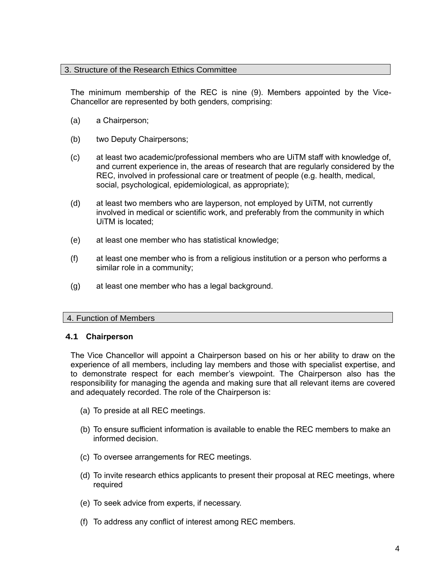## 3. Structure of the Research Ethics Committee

The minimum membership of the REC is nine (9). Members appointed by the Vice-Chancellor are represented by both genders, comprising:

- (a) a Chairperson;
- (b) two Deputy Chairpersons;
- (c) at least two academic/professional members who are UiTM staff with knowledge of, and current experience in, the areas of research that are regularly considered by the REC, involved in professional care or treatment of people (e.g. health, medical, social, psychological, epidemiological, as appropriate);
- (d) at least two members who are layperson, not employed by UiTM, not currently involved in medical or scientific work, and preferably from the community in which UiTM is located;
- (e) at least one member who has statistical knowledge;
- (f) at least one member who is from a religious institution or a person who performs a similar role in a community;
- (g) at least one member who has a legal background.

#### 4. Function of Members

#### **4.1 Chairperson**

The Vice Chancellor will appoint a Chairperson based on his or her ability to draw on the experience of all members, including lay members and those with specialist expertise, and to demonstrate respect for each member's viewpoint. The Chairperson also has the responsibility for managing the agenda and making sure that all relevant items are covered and adequately recorded. The role of the Chairperson is:

- (a) To preside at all REC meetings.
- (b) To ensure sufficient information is available to enable the REC members to make an informed decision.
- (c) To oversee arrangements for REC meetings.
- (d) To invite research ethics applicants to present their proposal at REC meetings, where required
- (e) To seek advice from experts, if necessary.
- (f) To address any conflict of interest among REC members.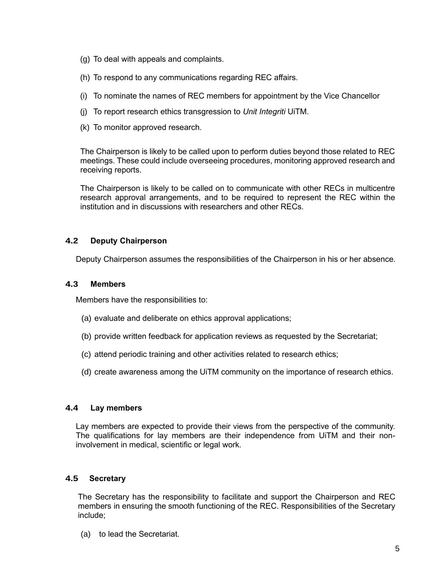- (g) To deal with appeals and complaints.
- (h) To respond to any communications regarding REC affairs.
- (i) To nominate the names of REC members for appointment by the Vice Chancellor
- (j) To report research ethics transgression to *Unit Integriti* UiTM.
- (k) To monitor approved research.

The Chairperson is likely to be called upon to perform duties beyond those related to REC meetings. These could include overseeing procedures, monitoring approved research and receiving reports.

The Chairperson is likely to be called on to communicate with other RECs in multicentre research approval arrangements, and to be required to represent the REC within the institution and in discussions with researchers and other RECs.

## **4.2 Deputy Chairperson**

Deputy Chairperson assumes the responsibilities of the Chairperson in his or her absence.

## **4.3 Members**

Members have the responsibilities to:

- (a) evaluate and deliberate on ethics approval applications;
- (b) provide written feedback for application reviews as requested by the Secretariat;
- (c) attend periodic training and other activities related to research ethics;
- (d) create awareness among the UiTM community on the importance of research ethics.

#### **4.4 Lay members**

Lay members are expected to provide their views from the perspective of the community. The qualifications for lay members are their independence from UiTM and their noninvolvement in medical, scientific or legal work.

## **4.5 Secretary**

The Secretary has the responsibility to facilitate and support the Chairperson and REC members in ensuring the smooth functioning of the REC. Responsibilities of the Secretary include;

(a) to lead the Secretariat.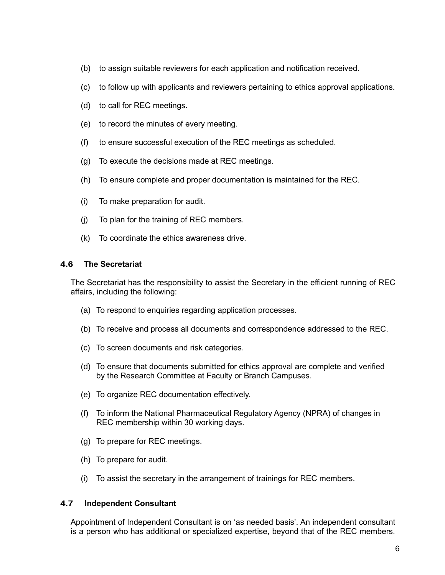- (b) to assign suitable reviewers for each application and notification received.
- (c) to follow up with applicants and reviewers pertaining to ethics approval applications.
- (d) to call for REC meetings.
- (e) to record the minutes of every meeting.
- (f) to ensure successful execution of the REC meetings as scheduled.
- (g) To execute the decisions made at REC meetings.
- (h) To ensure complete and proper documentation is maintained for the REC.
- (i) To make preparation for audit.
- (j) To plan for the training of REC members.
- (k) To coordinate the ethics awareness drive.

## **4.6 The Secretariat**

The Secretariat has the responsibility to assist the Secretary in the efficient running of REC affairs, including the following:

- (a) To respond to enquiries regarding application processes.
- (b) To receive and process all documents and correspondence addressed to the REC.
- (c) To screen documents and risk categories.
- (d) To ensure that documents submitted for ethics approval are complete and verified by the Research Committee at Faculty or Branch Campuses.
- (e) To organize REC documentation effectively.
- (f) To inform the National Pharmaceutical Regulatory Agency (NPRA) of changes in REC membership within 30 working days.
- (g) To prepare for REC meetings.
- (h) To prepare for audit.
- (i) To assist the secretary in the arrangement of trainings for REC members.

## **4.7 Independent Consultant**

Appointment of Independent Consultant is on 'as needed basis'. An independent consultant is a person who has additional or specialized expertise, beyond that of the REC members.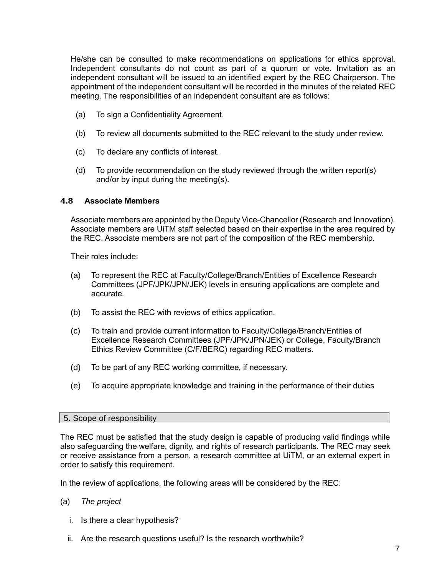He/she can be consulted to make recommendations on applications for ethics approval. Independent consultants do not count as part of a quorum or vote. Invitation as an independent consultant will be issued to an identified expert by the REC Chairperson. The appointment of the independent consultant will be recorded in the minutes of the related REC meeting. The responsibilities of an independent consultant are as follows:

- (a) To sign a Confidentiality Agreement.
- (b) To review all documents submitted to the REC relevant to the study under review.
- (c) To declare any conflicts of interest.
- (d) To provide recommendation on the study reviewed through the written report(s) and/or by input during the meeting(s).

#### **4.8 Associate Members**

Associate members are appointed by the Deputy Vice-Chancellor (Research and Innovation). Associate members are UiTM staff selected based on their expertise in the area required by the REC. Associate members are not part of the composition of the REC membership.

Their roles include:

- (a) To represent the REC at Faculty/College/Branch/Entities of Excellence Research Committees (JPF/JPK/JPN/JEK) levels in ensuring applications are complete and accurate.
- (b) To assist the REC with reviews of ethics application.
- (c) To train and provide current information to Faculty/College/Branch/Entities of Excellence Research Committees (JPF/JPK/JPN/JEK) or College, Faculty/Branch Ethics Review Committee (C/F/BERC) regarding REC matters.
- (d) To be part of any REC working committee, if necessary.
- (e) To acquire appropriate knowledge and training in the performance of their duties

#### 5. Scope of responsibility

The REC must be satisfied that the study design is capable of producing valid findings while also safeguarding the welfare, dignity, and rights of research participants. The REC may seek or receive assistance from a person, a research committee at UiTM, or an external expert in order to satisfy this requirement.

In the review of applications, the following areas will be considered by the REC:

- (a) *The project*
	- i. Is there a clear hypothesis?
	- ii. Are the research questions useful? Is the research worthwhile?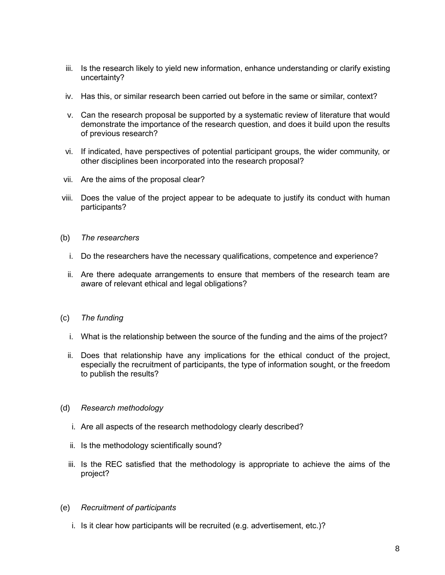- iii. Is the research likely to yield new information, enhance understanding or clarify existing uncertainty?
- iv. Has this, or similar research been carried out before in the same or similar, context?
- v. Can the research proposal be supported by a systematic review of literature that would demonstrate the importance of the research question, and does it build upon the results of previous research?
- vi. If indicated, have perspectives of potential participant groups, the wider community, or other disciplines been incorporated into the research proposal?
- vii. Are the aims of the proposal clear?
- viii. Does the value of the project appear to be adequate to justify its conduct with human participants?
- (b) *The researchers*
	- i. Do the researchers have the necessary qualifications, competence and experience?
	- ii. Are there adequate arrangements to ensure that members of the research team are aware of relevant ethical and legal obligations?
- (c) *The funding*
	- i. What is the relationship between the source of the funding and the aims of the project?
	- ii. Does that relationship have any implications for the ethical conduct of the project, especially the recruitment of participants, the type of information sought, or the freedom to publish the results?
- (d) *Research methodology*
	- i. Are all aspects of the research methodology clearly described?
	- ii. Is the methodology scientifically sound?
	- iii. Is the REC satisfied that the methodology is appropriate to achieve the aims of the project?
- (e) *Recruitment of participants*
	- i. Is it clear how participants will be recruited (e.g. advertisement, etc.)?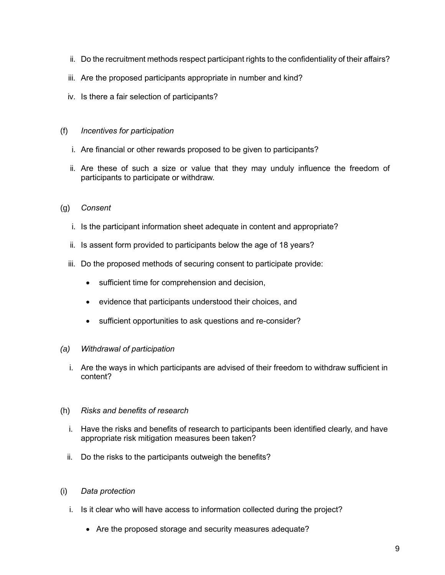- ii. Do the recruitment methods respect participant rights to the confidentiality of their affairs?
- iii. Are the proposed participants appropriate in number and kind?
- iv. Is there a fair selection of participants?

#### (f) *Incentives for participation*

- i. Are financial or other rewards proposed to be given to participants?
- ii. Are these of such a size or value that they may unduly influence the freedom of participants to participate or withdraw.

## (g) *Consent*

- i. Is the participant information sheet adequate in content and appropriate?
- ii. Is assent form provided to participants below the age of 18 years?
- iii. Do the proposed methods of securing consent to participate provide:
	- sufficient time for comprehension and decision,
	- evidence that participants understood their choices, and
	- sufficient opportunities to ask questions and re-consider?

#### *(a) Withdrawal of participation*

i. Are the ways in which participants are advised of their freedom to withdraw sufficient in content?

#### (h) *Risks and benefits of research*

- i. Have the risks and benefits of research to participants been identified clearly, and have appropriate risk mitigation measures been taken?
- ii. Do the risks to the participants outweigh the benefits?

## (i) *Data protection*

- i. Is it clear who will have access to information collected during the project?
	- Are the proposed storage and security measures adequate?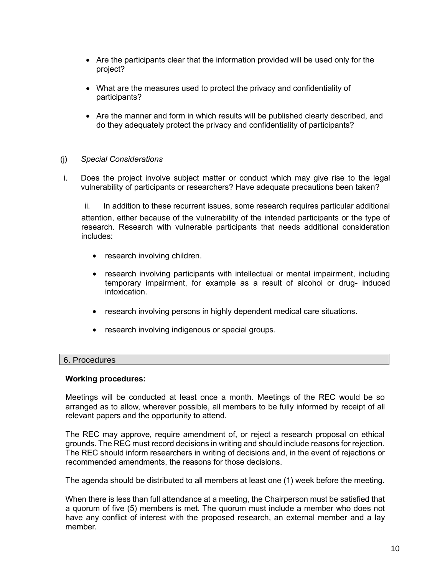- Are the participants clear that the information provided will be used only for the project?
- What are the measures used to protect the privacy and confidentiality of participants?
- Are the manner and form in which results will be published clearly described, and do they adequately protect the privacy and confidentiality of participants?

## (j) *Special Considerations*

i. Does the project involve subject matter or conduct which may give rise to the legal vulnerability of participants or researchers? Have adequate precautions been taken?

ii. In addition to these recurrent issues, some research requires particular additional attention, either because of the vulnerability of the intended participants or the type of research. Research with vulnerable participants that needs additional consideration includes:

- research involving children.
- research involving participants with intellectual or mental impairment, including temporary impairment, for example as a result of alcohol or drug- induced intoxication.
- research involving persons in highly dependent medical care situations.
- research involving indigenous or special groups.

## 6. Procedures

#### **Working procedures:**

Meetings will be conducted at least once a month. Meetings of the REC would be so arranged as to allow, wherever possible, all members to be fully informed by receipt of all relevant papers and the opportunity to attend.

The REC may approve, require amendment of, or reject a research proposal on ethical grounds. The REC must record decisions in writing and should include reasons for rejection. The REC should inform researchers in writing of decisions and, in the event of rejections or recommended amendments, the reasons for those decisions.

The agenda should be distributed to all members at least one (1) week before the meeting.

When there is less than full attendance at a meeting, the Chairperson must be satisfied that a quorum of five (5) members is met. The quorum must include a member who does not have any conflict of interest with the proposed research, an external member and a lay member.